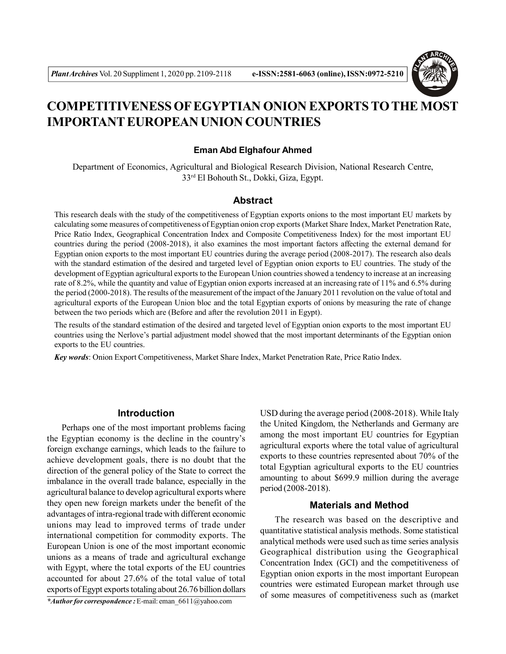

# **COMPETITIVENESS OF EGYPTIAN ONION EXPORTS TO THE MOST IMPORTANT EUROPEAN UNION COUNTRIES**

#### **Eman Abd Elghafour Ahmed**

Department of Economics, Agricultural and Biological Research Division, National Research Centre, 33rd El Bohouth St., Dokki, Giza, Egypt.

## **Abstract**

This research deals with the study of the competitiveness of Egyptian exports onions to the most important EU markets by calculating some measures of competitiveness of Egyptian onion crop exports (Market Share Index, Market Penetration Rate, Price Ratio Index, Geographical Concentration Index and Composite Competitiveness Index) for the most important EU countries during the period (2008-2018), it also examines the most important factors affecting the external demand for Egyptian onion exports to the most important EU countries during the average period (2008-2017). The research also deals with the standard estimation of the desired and targeted level of Egyptian onion exports to EU countries. The study of the development of Egyptian agricultural exports to the European Union countries showed a tendency to increase at an increasing rate of 8.2%, while the quantity and value of Egyptian onion exports increased at an increasing rate of 11% and 6.5% during the period (2000-2018). The results of the measurement of the impact of the January 2011 revolution on the value of total and agricultural exports of the European Union bloc and the total Egyptian exports of onions by measuring the rate of change between the two periods which are (Before and after the revolution 2011 in Egypt).

The results of the standard estimation of the desired and targeted level of Egyptian onion exports to the most important EU countries using the Nerlove's partial adjustment model showed that the most important determinants of the Egyptian onion exports to the EU countries.

*Key words*: Onion Export Competitiveness, Market Share Index, Market Penetration Rate, Price Ratio Index.

#### **Introduction**

Perhaps one of the most important problems facing the Egyptian economy is the decline in the country's foreign exchange earnings, which leads to the failure to achieve development goals, there is no doubt that the direction of the general policy of the State to correct the imbalance in the overall trade balance, especially in the agricultural balance to develop agricultural exports where they open new foreign markets under the benefit of the advantages of intra-regional trade with different economic unions may lead to improved terms of trade under international competition for commodity exports. The European Union is one of the most important economic unions as a means of trade and agricultural exchange with Egypt, where the total exports of the EU countries accounted for about 27.6% of the total value of total exports of Egypt exports totaling about 26.76 billion dollars

*\*Author for correspondence :* E-mail: eman\_6611@yahoo.com

USD during the average period (2008-2018). While Italy the United Kingdom, the Netherlands and Germany are among the most important EU countries for Egyptian agricultural exports where the total value of agricultural exports to these countries represented about 70% of the total Egyptian agricultural exports to the EU countries amounting to about \$699.9 million during the average period (2008-2018).

#### **Materials and Method**

The research was based on the descriptive and quantitative statistical analysis methods. Some statistical analytical methods were used such as time series analysis Geographical distribution using the Geographical Concentration Index (GCI) and the competitiveness of Egyptian onion exports in the most important European countries were estimated European market through use of some measures of competitiveness such as (market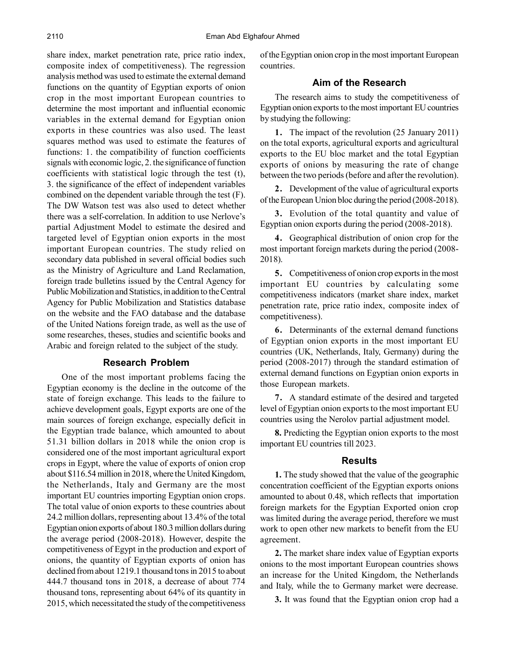share index, market penetration rate, price ratio index, composite index of competitiveness). The regression analysis method was used to estimate the external demand functions on the quantity of Egyptian exports of onion crop in the most important European countries to determine the most important and influential economic variables in the external demand for Egyptian onion exports in these countries was also used. The least squares method was used to estimate the features of functions: 1. the compatibility of function coefficients signals with economic logic, 2. the significance of function coefficients with statistical logic through the test (t), 3. the significance of the effect of independent variables combined on the dependent variable through the test (F). The DW Watson test was also used to detect whether there was a self-correlation. In addition to use Nerlove's partial Adjustment Model to estimate the desired and targeted level of Egyptian onion exports in the most important European countries. The study relied on secondary data published in several official bodies such as the Ministry of Agriculture and Land Reclamation, foreign trade bulletins issued by the Central Agency for Public Mobilization and Statistics, in addition to the Central Agency for Public Mobilization and Statistics database on the website and the FAO database and the database of the United Nations foreign trade, as well as the use of some researches, theses, studies and scientific books and Arabic and foreign related to the subject of the study.

#### **Research Problem**

One of the most important problems facing the Egyptian economy is the decline in the outcome of the state of foreign exchange. This leads to the failure to achieve development goals, Egypt exports are one of the main sources of foreign exchange, especially deficit in the Egyptian trade balance, which amounted to about 51.31 billion dollars in 2018 while the onion crop is considered one of the most important agricultural export crops in Egypt, where the value of exports of onion crop about \$116.54 million in 2018, where the United Kingdom, the Netherlands, Italy and Germany are the most important EU countries importing Egyptian onion crops. The total value of onion exports to these countries about 24.2 million dollars, representing about 13.4% of the total Egyptian onion exports of about 180.3 million dollars during the average period (2008-2018). However, despite the competitiveness of Egypt in the production and export of onions, the quantity of Egyptian exports of onion has declined from about 1219.1 thousand tons in 2015 to about 444.7 thousand tons in 2018, a decrease of about 774 thousand tons, representing about 64% of its quantity in 2015, which necessitated the study of the competitiveness of the Egyptian onion crop in the most important European countries.

## **Aim of the Research**

The research aims to study the competitiveness of Egyptian onion exports to the most important EU countries by studying the following:

**1.** The impact of the revolution (25 January 2011) on the total exports, agricultural exports and agricultural exports to the EU bloc market and the total Egyptian exports of onions by measuring the rate of change between the two periods (before and after the revolution).

**2.** Development of the value of agricultural exports of the European Union bloc during the period (2008-2018).

**3.** Evolution of the total quantity and value of Egyptian onion exports during the period (2008-2018).

**4.** Geographical distribution of onion crop for the most important foreign markets during the period (2008- 2018).

**5.** Competitiveness of onion crop exports in the most important EU countries by calculating some competitiveness indicators (market share index, market penetration rate, price ratio index, composite index of competitiveness).

**6.** Determinants of the external demand functions of Egyptian onion exports in the most important EU countries (UK, Netherlands, Italy, Germany) during the period (2008-2017) through the standard estimation of external demand functions on Egyptian onion exports in those European markets.

**7.** A standard estimate of the desired and targeted level of Egyptian onion exports to the most important EU countries using the Nerolov partial adjustment model.

**8.** Predicting the Egyptian onion exports to the most important EU countries till 2023.

#### **Results**

**1.** The study showed that the value of the geographic concentration coefficient of the Egyptian exports onions amounted to about 0.48, which reflects that importation foreign markets for the Egyptian Exported onion crop was limited during the average period, therefore we must work to open other new markets to benefit from the EU agreement.

**2.** The market share index value of Egyptian exports onions to the most important European countries shows an increase for the United Kingdom, the Netherlands and Italy, while the to Germany market were decrease.

**3.** It was found that the Egyptian onion crop had a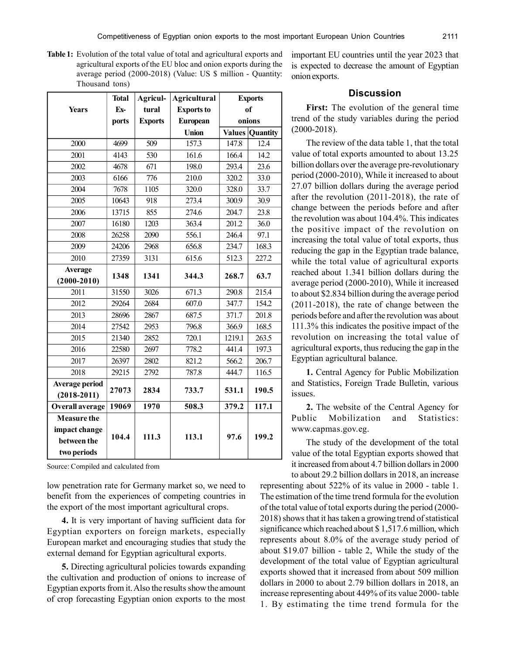**Table 1:** Evolution of the total value of total and agricultural exports and agricultural exports of the EU bloc and onion exports during the average period (2000-2018) (Value: US \$ million - Quantity: Thousand tons)

|                        | <b>Total</b> | Agricul-       | <b>Agricultural</b> | <b>Exports</b> |                        |
|------------------------|--------------|----------------|---------------------|----------------|------------------------|
| <b>Years</b>           | $Ex-$        | tural          | <b>Exports to</b>   |                | <sub>of</sub>          |
|                        | ports        | <b>Exports</b> | <b>European</b>     |                | onions                 |
|                        |              |                | <b>Union</b>        |                | <b>Values Quantity</b> |
| 2000                   | 4699         | 509            | 157.3               | 147.8          | 12.4                   |
| 2001                   | 4143         | 530            | 161.6               | 166.4          | 14.2                   |
| 2002                   | 4678         | 671            | 198.0               | 293.4          | 23.6                   |
| 2003                   | 6166         | 776            | 210.0               | 320.2          | 33.0                   |
| 2004                   | 7678         | 1105           | 320.0               | 328.0          | 33.7                   |
| 2005                   | 10643        | 918            | 273.4               | 300.9          | 30.9                   |
| 2006                   | 13715        | 855            | 274.6               | 204.7          | 23.8                   |
| 2007                   | 16180        | 1203           | 363.4               | 201.2          | 36.0                   |
| 2008                   | 26258        | 2090           | 556.1               | 246.4          | 97.1                   |
| 2009                   | 24206        | 2968           | 656.8               | 234.7          | 168.3                  |
| 2010                   | 27359        | 3131           | 615.6               | 512.3          | 227.2                  |
| <b>Average</b>         |              |                |                     |                |                        |
| $(2000 - 2010)$        | 1348         | 1341           | 344.3               | 268.7          | 63.7                   |
| 2011                   | 31550        | 3026           | 671.3               | 290.8          | 215.4                  |
| 2012                   | 29264        | 2684           | 607.0               | 347.7          | 154.2                  |
| 2013                   | 28696        | 2867           | 687.5               | 371.7          | 201.8                  |
| 2014                   | 27542        | 2953           | 796.8               | 366.9          | 168.5                  |
| 2015                   | 21340        | 2852           | 720.1               | 1219.1         | 263.5                  |
| 2016                   | 22580        | 2697           | 778.2               | 441.4          | 197.3                  |
| 2017                   | 26397        | 2802           | 821.2               | 566.2          | 206.7                  |
| 2018                   | 29215        | 2792           | 787.8               | 444.7          | 116.5                  |
| Average period         |              |                |                     |                |                        |
| $(2018 - 2011)$        | 27073        | 2834           | 733.7               | 531.1          | 190.5                  |
| <b>Overall average</b> | 19069        | 1970           | 508.3               | 379.2          | 117.1                  |
| <b>Measure the</b>     |              |                |                     |                |                        |
| impact change          |              |                |                     |                |                        |
| between the            | 104.4        | 111.3          | 113.1               | 97.6           | 199.2                  |
| two periods            |              |                |                     |                |                        |

Source: Compiled and calculated from

low penetration rate for Germany market so, we need to benefit from the experiences of competing countries in the export of the most important agricultural crops.

**4.** It is very important of having sufficient data for Egyptian exporters on foreign markets, especially European market and encouraging studies that study the external demand for Egyptian agricultural exports.

**5.** Directing agricultural policies towards expanding the cultivation and production of onions to increase of Egyptian exports from it. Also the results show the amount of crop forecasting Egyptian onion exports to the most

important EU countries until the year 2023 that is expected to decrease the amount of Egyptian onion exports.

# **Discussion**

**First:** The evolution of the general time trend of the study variables during the period (2000-2018).

The review of the data table 1, that the total value of total exports amounted to about 13.25 billion dollars over the average pre-revolutionary period (2000-2010), While it increased to about 27.07 billion dollars during the average period after the revolution (2011-2018), the rate of change between the periods before and after the revolution was about 104.4%. This indicates the positive impact of the revolution on increasing the total value of total exports, thus reducing the gap in the Egyptian trade balance, while the total value of agricultural exports reached about 1.341 billion dollars during the average period (2000-2010), While it increased to about \$2.834 billion during the average period (2011-2018), the rate of change between the periods before and after the revolution was about 111.3% this indicates the positive impact of the revolution on increasing the total value of agricultural exports, thus reducing the gap in the Egyptian agricultural balance.

**1.** Central Agency for Public Mobilization and Statistics, Foreign Trade Bulletin, various issues.

**2.** The website of the Central Agency for Public Mobilization and Statistics: www.capmas.gov.eg.

The study of the development of the total value of the total Egyptian exports showed that it increased from about 4.7 billion dollars in 2000 to about 29.2 billion dollars in 2018, an increase

representing about 522% of its value in 2000 - table 1. The estimation of the time trend formula for the evolution of the total value of total exports during the period (2000- 2018) shows that it has taken a growing trend of statistical significance which reached about \$ 1,517.6 million, which represents about 8.0% of the average study period of about \$19.07 billion - table 2, While the study of the development of the total value of Egyptian agricultural exports showed that it increased from about 509 million dollars in 2000 to about 2.79 billion dollars in 2018, an increase representing about 449% of its value 2000- table 1. By estimating the time trend formula for the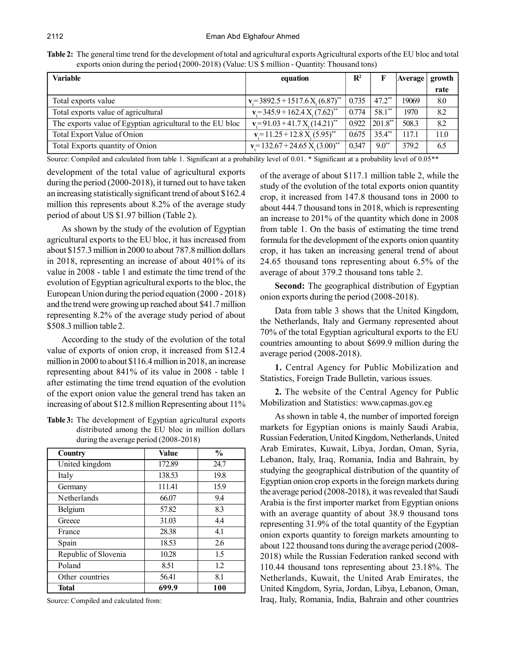| <b>Variable</b>                                           | equation                                   | $\mathbf{R}^2$ |                      | Average | growth |
|-----------------------------------------------------------|--------------------------------------------|----------------|----------------------|---------|--------|
|                                                           |                                            |                |                      |         | rate   |
| Total exports value                                       | $v = 3892.5 + 1517.6 X_{1}(6.87)^{**}$     | 0.735          | $47.2$ <sup>**</sup> | 19069   | 8.0    |
| Total exports value of agricultural                       | $v = 345.9 + 162.4 X (7.62)^{**}$          | 0.774          | $58.1^{**}$          | 1970    | 8.2    |
| The exports value of Egyptian agricultural to the EU bloc | $v = 91.03 + 41.7 X (14.21)^{**}$          | 0.922          | $ 201.8^{**} $       | 508.3   | 8.2    |
| Total Export Value of Onion                               | $v = 11.25 + 12.8 X_s (5.95)^{**}$         | 0.675          | 35.4**               | 117.1   | 11.0   |
| Total Exports quantity of Onion                           | $v = 132.67 + 24.65 X(3.00)$ <sup>**</sup> | 0.347          | $9.0^{**}$           | 379.2   | 6.5    |

Source: Compiled and calculated from table 1. Significant at a probability level of 0.01. \* Significant at a probability level of 0.05\*\*

development of the total value of agricultural exports during the period (2000-2018), it turned out to have taken an increasing statistically significant trend of about \$162.4 million this represents about 8.2% of the average study period of about US \$1.97 billion (Table 2).

As shown by the study of the evolution of Egyptian agricultural exports to the EU bloc, it has increased from about \$157.3 million in 2000 to about 787.8 million dollars in 2018, representing an increase of about 401% of its value in 2008 - table 1 and estimate the time trend of the evolution of Egyptian agricultural exports to the bloc, the European Union during the period equation (2000 - 2018) and the trend were growing up reached about \$41.7 million representing 8.2% of the average study period of about \$508.3 million table 2.

According to the study of the evolution of the total value of exports of onion crop, it increased from \$12.4 million in 2000 to about \$116.4 million in 2018, an increase representing about 841% of its value in 2008 - table 1 after estimating the time trend equation of the evolution of the export onion value the general trend has taken an increasing of about \$12.8 million Representing about 11%

**Table 3:** The development of Egyptian agricultural exports distributed among the EU bloc in million dollars during the average period (2008-2018)

| <b>Country</b>       | <b>Value</b> | $\frac{0}{0}$ |
|----------------------|--------------|---------------|
| United kingdom       | 172.89       | 24.7          |
| Italy                | 138.53       | 19.8          |
| Germany              | 111.41       | 15.9          |
| Netherlands          | 66.07        | 9.4           |
| Belgium              | 57.82        | 8.3           |
| Greece               | 31.03        | 4.4           |
| France               | 28.38        | 4.1           |
| Spain                | 18.53        | 2.6           |
| Republic of Slovenia | 10.28        | 1.5           |
| Poland               | 8.51         | 1.2           |
| Other countries      | 56.41        | 8.1           |
| <b>Total</b>         | 699.9        | 100           |

Source: Compiled and calculated from:

of the average of about \$117.1 million table 2, while the study of the evolution of the total exports onion quantity crop, it increased from 147.8 thousand tons in 2000 to about 444.7 thousand tons in 2018, which is representing an increase to 201% of the quantity which done in 2008 from table 1. On the basis of estimating the time trend formula for the development of the exports onion quantity crop, it has taken an increasing general trend of about 24.65 thousand tons representing about 6.5% of the average of about 379.2 thousand tons table 2.

**Second:** The geographical distribution of Egyptian onion exports during the period (2008-2018).

Data from table 3 shows that the United Kingdom, the Netherlands, Italy and Germany represented about 70% of the total Egyptian agricultural exports to the EU countries amounting to about \$699.9 million during the average period (2008-2018).

**1.** Central Agency for Public Mobilization and Statistics, Foreign Trade Bulletin, various issues.

**2.** The website of the Central Agency for Public Mobilization and Statistics: www.capmas.gov.eg

As shown in table 4, the number of imported foreign markets for Egyptian onions is mainly Saudi Arabia, Russian Federation, United Kingdom, Netherlands, United Arab Emirates, Kuwait, Libya, Jordan, Oman, Syria, Lebanon, Italy, Iraq, Romania, India and Bahrain, by studying the geographical distribution of the quantity of Egyptian onion crop exports in the foreign markets during the average period (2008-2018), it was revealed that Saudi Arabia is the first importer market from Egyptian onions with an average quantity of about 38.9 thousand tons representing 31.9% of the total quantity of the Egyptian onion exports quantity to foreign markets amounting to about 122 thousand tons during the average period (2008- 2018) while the Russian Federation ranked second with 110.44 thousand tons representing about 23.18%. The Netherlands, Kuwait, the United Arab Emirates, the United Kingdom, Syria, Jordan, Libya, Lebanon, Oman, Iraq, Italy, Romania, India, Bahrain and other countries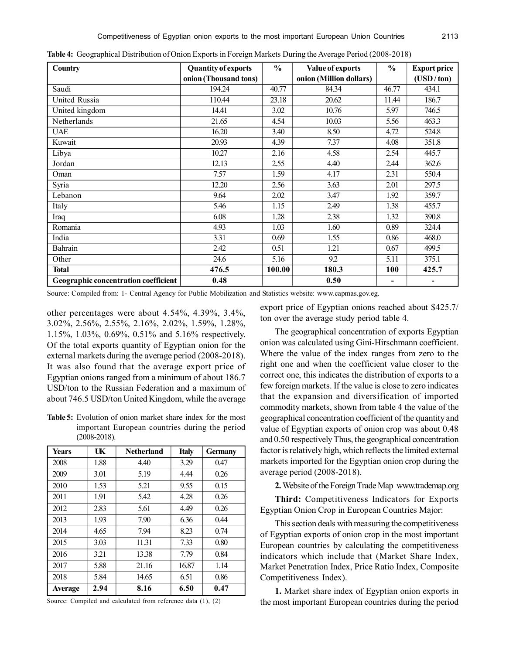| <b>Country</b>                       | <b>Quantity of exports</b> | $\frac{6}{6}$ | Value of exports        | $\frac{0}{0}$  | <b>Export price</b> |
|--------------------------------------|----------------------------|---------------|-------------------------|----------------|---------------------|
|                                      | onion (Thousand tons)      |               | onion (Million dollars) |                | (USD/ton)           |
| Saudi                                | 194.24                     | 40.77         | 84.34                   | 46.77          | 434.1               |
| United Russia                        | 110.44                     | 23.18         | 20.62                   | 11.44          | 186.7               |
| United kingdom                       | 14.41                      | 3.02          | 10.76                   | 5.97           | 746.5               |
| Netherlands                          | 21.65                      | 4.54          | 10.03                   | 5.56           | 463.3               |
| <b>UAE</b>                           | 16.20                      | 3.40          | 8.50                    | 4.72           | 524.8               |
| Kuwait                               | 20.93                      | 4.39          | 7.37                    | 4.08           | 351.8               |
| Libya                                | 10.27                      | 2.16          | 4.58                    | 2.54           | 445.7               |
| Jordan                               | 12.13                      | 2.55          | 4.40                    | 2.44           | 362.6               |
| Oman                                 | 7.57                       | 1.59          | 4.17                    | 2.31           | 550.4               |
| Syria                                | 12.20                      | 2.56          | 3.63                    | 2.01           | 297.5               |
| Lebanon                              | 9.64                       | 2.02          | 3.47                    | 1.92           | 359.7               |
| Italy                                | 5.46                       | 1.15          | 2.49                    | 1.38           | 455.7               |
| Iraq                                 | 6.08                       | 1.28          | 2.38                    | 1.32           | 390.8               |
| Romania                              | 4.93                       | 1.03          | 1.60                    | 0.89           | 324.4               |
| India                                | 3.31                       | 0.69          | 1.55                    | 0.86           | 468.0               |
| Bahrain                              | 2.42                       | 0.51          | 1.21                    | 0.67           | 499.5               |
| Other                                | 24.6                       | 5.16          | 92                      | 5.11           | 375.1               |
| <b>Total</b>                         | 476.5                      | 100.00        | 180.3                   | <b>100</b>     | 425.7               |
| Geographic concentration coefficient | 0.48                       |               | 0.50                    | $\blacksquare$ | $\blacksquare$      |

**Table 4:** Geographical Distribution of Onion Exports in Foreign Markets During the Average Period (2008-2018)

Source: Compiled from: 1- Central Agency for Public Mobilization and Statistics website: www.capmas.gov.eg.

other percentages were about 4.54%, 4.39%, 3.4%, 3.02%, 2.56%, 2.55%, 2.16%, 2.02%, 1.59%, 1.28%, 1.15%, 1.03%, 0.69%, 0.51% and 5.16% respectively. Of the total exports quantity of Egyptian onion for the external markets during the average period (2008-2018). It was also found that the average export price of Egyptian onions ranged from a minimum of about 186.7 USD/ton to the Russian Federation and a maximum of about 746.5 USD/ton United Kingdom, while the average

**Table 5:** Evolution of onion market share index for the most important European countries during the period (2008-2018).

| <b>Years</b> | UK   | <b>Netherland</b> | <b>Italy</b> | <b>Germany</b> |
|--------------|------|-------------------|--------------|----------------|
| 2008         | 1.88 | 4.40              | 3.29         | 0.47           |
| 2009         | 3.01 | 5.19              | 4.44         | 0.26           |
| 2010         | 1.53 | 5.21              | 9.55         | 0.15           |
| 2011         | 1.91 | 5.42              | 4.28         | 0.26           |
| 2012         | 2.83 | 5.61              | 4.49         | 0.26           |
| 2013         | 1.93 | 7.90              | 6.36         | 0.44           |
| 2014         | 4.65 | 7.94              | 8.23         | 0.74           |
| 2015         | 3.03 | 11.31             | 7.33         | 0.80           |
| 2016         | 3.21 | 13.38             | 7.79         | 0.84           |
| 2017         | 5.88 | 21.16             | 16.87        | 1.14           |
| 2018         | 5.84 | 14.65             | 6.51         | 0.86           |
| Average      | 2.94 | 8.16              | 6.50         | 0.47           |

Source: Compiled and calculated from reference data (1), (2)

export price of Egyptian onions reached about \$425.7/ ton over the average study period table 4.

The geographical concentration of exports Egyptian onion was calculated using Gini-Hirschmann coefficient. Where the value of the index ranges from zero to the right one and when the coefficient value closer to the correct one, this indicates the distribution of exports to a few foreign markets. If the value is close to zero indicates that the expansion and diversification of imported commodity markets, shown from table 4 the value of the geographical concentration coefficient of the quantity and value of Egyptian exports of onion crop was about 0.48 and 0.50 respectively Thus, the geographical concentration factor is relatively high, which reflects the limited external markets imported for the Egyptian onion crop during the average period (2008-2018).

**2.** Website of the Foreign Trade Map www.trademap.org

**Third:** Competitiveness Indicators for Exports Egyptian Onion Crop in European Countries Major:

This section deals with measuring the competitiveness of Egyptian exports of onion crop in the most important European countries by calculating the competitiveness indicators which include that (Market Share Index, Market Penetration Index, Price Ratio Index, Composite Competitiveness Index).

**1.** Market share index of Egyptian onion exports in the most important European countries during the period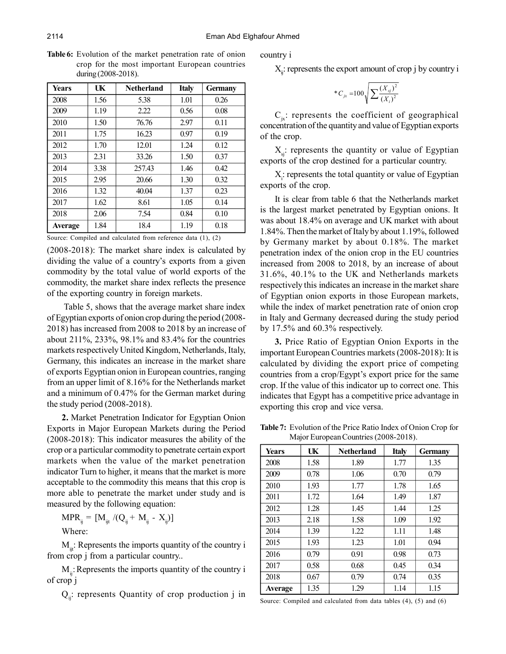**Table 6:** Evolution of the market penetration rate of onion crop for the most important European countries during (2008-2018).

| <b>Years</b> | UK   | <b>Netherland</b> | <b>Italy</b> | <b>Germany</b> |
|--------------|------|-------------------|--------------|----------------|
| 2008         | 1.56 | 5.38              | 1.01         | 0.26           |
| 2009         | 1.19 | 2.22              | 0.56         | 0.08           |
| 2010         | 1.50 | 76.76             | 2.97         | 0.11           |
| 2011         | 1.75 | 16.23             | 0.97         | 0.19           |
| 2012         | 1.70 | 12.01             | 1.24         | 0.12           |
| 2013         | 2.31 | 33.26             | 1.50         | 0.37           |
| 2014         | 3.38 | 257.43            | 1.46         | 0.42           |
| 2015         | 2.95 | 20.66             | 1.30         | 0.32           |
| 2016         | 1.32 | 40.04             | 1.37         | 0.23           |
| 2017         | 1.62 | 8.61              | 1.05         | 0.14           |
| 2018         | 2.06 | 7.54              | 0.84         | 0.10           |
| Average      | 1.84 | 18.4              | 1.19         | 0.18           |

Source: Compiled and calculated from reference data (1), (2)

(2008-2018): The market share index is calculated by dividing the value of a country's exports from a given commodity by the total value of world exports of the commodity, the market share index reflects the presence of the exporting country in foreign markets.

 Table 5, shows that the average market share index of Egyptian exports of onion crop during the period (2008- 2018) has increased from 2008 to 2018 by an increase of about 211%, 233%, 98.1% and 83.4% for the countries markets respectively United Kingdom, Netherlands, Italy, Germany, this indicates an increase in the market share of exports Egyptian onion in European countries, ranging from an upper limit of 8.16% for the Netherlands market and a minimum of 0.47% for the German market during the study period (2008-2018).

**2.** Market Penetration Indicator for Egyptian Onion Exports in Major European Markets during the Period (2008-2018): This indicator measures the ability of the crop or a particular commodity to penetrate certain export markets when the value of the market penetration indicator Turn to higher, it means that the market is more acceptable to the commodity this means that this crop is more able to penetrate the market under study and is measured by the following equation:

 $\text{MPR}_{ij} = [\text{M}_{ijt} \ / ( \text{Q}_{ij} + \text{M}_{ij} - \text{X}_{ij} )]$ Where:

 $M_{\text{int}}$ : Represents the imports quantity of the country i from crop j from a particular country..

 $M<sub>ii</sub>$ : Represents the imports quantity of the country i of crop j

 $Q_{ii}$ : represents Quantity of crop production j in

country i

 $X_{ij}$ : represents the export amount of crop j by country i

\*
$$
C_{jx}
$$
 =100 $\sqrt{\sum \frac{(X_{sj})^2}{(X_i)^2}}$ 

 $C_{ix}$ : represents the coefficient of geographical concentration of the quantity and value of Egyptian exports of the crop.

 $X_{s}$ : represents the quantity or value of Egyptian exports of the crop destined for a particular country.

 $X_i$ : represents the total quantity or value of Egyptian exports of the crop.

It is clear from table 6 that the Netherlands market is the largest market penetrated by Egyptian onions. It was about 18.4% on average and UK market with about 1.84%. Then the market of Italy by about 1.19%, followed by Germany market by about 0.18%. The market penetration index of the onion crop in the EU countries increased from 2008 to 2018, by an increase of about 31.6%, 40.1% to the UK and Netherlands markets respectively this indicates an increase in the market share of Egyptian onion exports in those European markets, while the index of market penetration rate of onion crop in Italy and Germany decreased during the study period by 17.5% and 60.3% respectively.

**3.** Price Ratio of Egyptian Onion Exports in the important European Countries markets (2008-2018): It is calculated by dividing the export price of competing countries from a crop/Egypt's export price for the same crop. If the value of this indicator up to correct one. This indicates that Egypt has a competitive price advantage in exporting this crop and vice versa.

| Years   | UK   | <b>Netherland</b> | <b>Italy</b> | <b>Germany</b> |
|---------|------|-------------------|--------------|----------------|
| 2008    | 1.58 | 1.89              | 1.77         | 1.35           |
| 2009    | 0.78 | 1.06              | 0.70         | 0.79           |
| 2010    | 1.93 | 1.77              | 1.78         | 1.65           |
| 2011    | 1.72 | 1.64              | 1.49         | 1.87           |
| 2012    | 1.28 | 1.45              | 1.44         | 1.25           |
| 2013    | 2.18 | 1.58              | 1.09         | 1.92           |
| 2014    | 1.39 | 1.22              | 1.11         | 1.48           |
| 2015    | 1.93 | 1.23              | 1.01         | 0.94           |
| 2016    | 0.79 | 0.91              | 0.98         | 0.73           |
| 2017    | 0.58 | 0.68              | 0.45         | 0.34           |
| 2018    | 0.67 | 0.79              | 0.74         | 0.35           |
| Average | 1.35 | 1.29              | 1.14         | 1.15           |

**Table 7:** Evolution of the Price Ratio Index of Onion Crop for Major European Countries (2008-2018).

Source: Compiled and calculated from data tables (4), (5) and (6)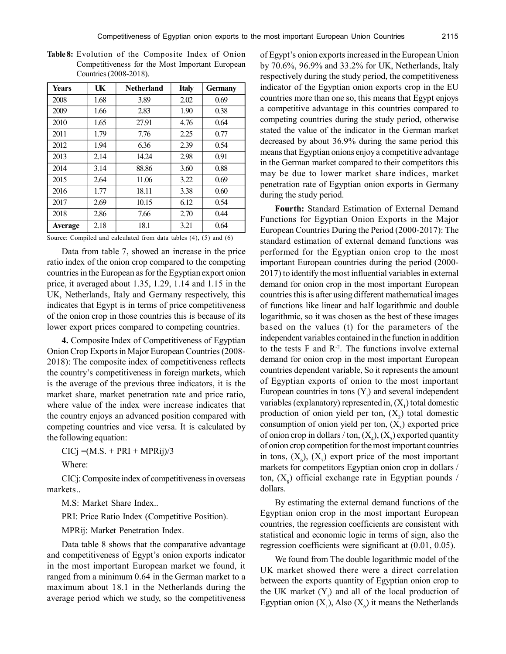| <b>Years</b>   | UK   | <b>Netherland</b> | <b>Italy</b> | <b>Germany</b> |
|----------------|------|-------------------|--------------|----------------|
| 2008           | 1.68 | 3.89              | 2.02         | 0.69           |
| 2009           | 1.66 | 2.83              | 1.90         | 0.38           |
| 2010           | 1.65 | 27.91             | 4.76         | 0.64           |
| 2011           | 1.79 | 7.76              | 2.25         | 0.77           |
| 2012           | 1.94 | 6.36              | 2.39         | 0.54           |
| 2013           | 2.14 | 14.24             | 2.98         | 0.91           |
| 2014           | 3.14 | 88.86             | 3.60         | 0.88           |
| 2015           | 2.64 | 11.06             | 3.22         | 0.69           |
| 2016           | 1.77 | 18.11             | 3.38         | 0.60           |
| 2017           | 2.69 | 10.15             | 6.12         | 0.54           |
| 2018           | 2.86 | 7.66              | 2.70         | 0.44           |
| <b>Average</b> | 2.18 | 18.1              | 3.21         | 0.64           |

**Table 8:** Evolution of the Composite Index of Onion Competitiveness for the Most Important European Countries (2008-2018).

Source: Compiled and calculated from data tables (4), (5) and (6)

Data from table 7, showed an increase in the price ratio index of the onion crop compared to the competing countries in the European as for the Egyptian export onion price, it averaged about 1.35, 1.29, 1.14 and 1.15 in the UK, Netherlands, Italy and Germany respectively, this indicates that Egypt is in terms of price competitiveness of the onion crop in those countries this is because of its lower export prices compared to competing countries.

**4.** Composite Index of Competitiveness of Egyptian Onion Crop Exports in Major European Countries (2008- 2018): The composite index of competitiveness reflects the country's competitiveness in foreign markets, which is the average of the previous three indicators, it is the market share, market penetration rate and price ratio, where value of the index were increase indicates that the country enjoys an advanced position compared with competing countries and vice versa. It is calculated by the following equation:

 $CICj = (M.S. + PRI + MPRij)/3$ 

Where:

CICj: Composite index of competitiveness in overseas markets..

M.S: Market Share Index..

PRI: Price Ratio Index (Competitive Position).

MPRij: Market Penetration Index.

Data table 8 shows that the comparative advantage and competitiveness of Egypt's onion exports indicator in the most important European market we found, it ranged from a minimum 0.64 in the German market to a maximum about 18.1 in the Netherlands during the average period which we study, so the competitiveness of Egypt's onion exports increased in the European Union by 70.6%, 96.9% and 33.2% for UK, Netherlands, Italy respectively during the study period, the competitiveness indicator of the Egyptian onion exports crop in the EU countries more than one so, this means that Egypt enjoys a competitive advantage in this countries compared to competing countries during the study period, otherwise stated the value of the indicator in the German market decreased by about 36.9% during the same period this means that Egyptian onions enjoy a competitive advantage in the German market compared to their competitors this may be due to lower market share indices, market penetration rate of Egyptian onion exports in Germany during the study period.

**Fourth:** Standard Estimation of External Demand Functions for Egyptian Onion Exports in the Major European Countries During the Period (2000-2017): The standard estimation of external demand functions was performed for the Egyptian onion crop to the most important European countries during the period (2000- 2017) to identify the most influential variables in external demand for onion crop in the most important European countries this is after using different mathematical images of functions like linear and half logarithmic and double logarithmic, so it was chosen as the best of these images based on the values (t) for the parameters of the independent variables contained in the function in addition to the tests  $F$  and  $R^{-2}$ . The functions involve external demand for onion crop in the most important European countries dependent variable, So it represents the amount of Egyptian exports of onion to the most important European countries in tons  $(Y_t)$  and several independent variables (explanatory) represented in,  $(X_1)$  total domestic production of onion yield per ton,  $(X_2)$  total domestic consumption of onion yield per ton,  $(X_3)$  exported price of onion crop in dollars / ton,  $(X_4)$ ,  $(X_5)$  exported quantity of onion crop competition for the most important countries in tons,  $(X_6)$ ,  $(X_7)$  export price of the most important markets for competitors Egyptian onion crop in dollars / ton,  $(X_8)$  official exchange rate in Egyptian pounds / dollars.

By estimating the external demand functions of the Egyptian onion crop in the most important European countries, the regression coefficients are consistent with statistical and economic logic in terms of sign, also the regression coefficients were significant at (0.01, 0.05).

We found from The double logarithmic model of the UK market showed there were a direct correlation between the exports quantity of Egyptian onion crop to the UK market  $(Y_t)$  and all of the local production of Egyptian onion  $(X_1)$ , Also  $(X_6)$  it means the Netherlands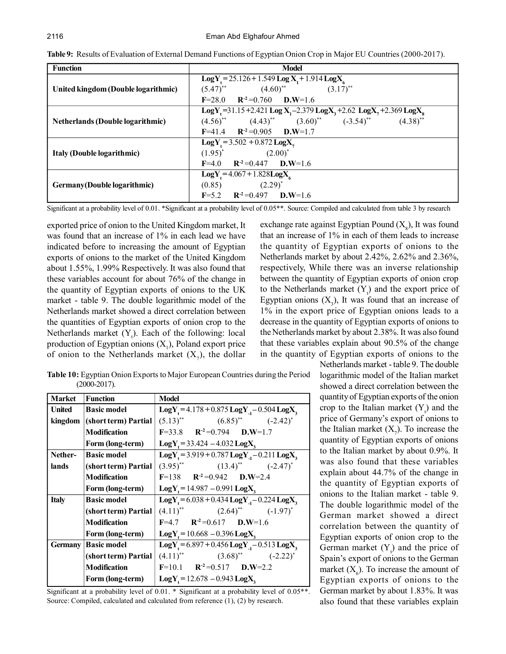| <b>Function</b>                         | <b>Model</b>                                                                                                                |  |  |  |  |
|-----------------------------------------|-----------------------------------------------------------------------------------------------------------------------------|--|--|--|--|
|                                         | $LogY_{1} = 25.126 + 1.549 LogX_{1} + 1.914 LogX_{6}$                                                                       |  |  |  |  |
| United kingdom (Double logarithmic)     | $(5.47)$ <sup>**</sup> $(4.60)$ <sup>**</sup> $(3.17)$ <sup>**</sup>                                                        |  |  |  |  |
|                                         | $R^{-2} = 0.760$ $D.W=1.6$<br>$F = 28.0$                                                                                    |  |  |  |  |
|                                         | LogY <sub>1</sub> =31.15+2.421 Log X <sub>1</sub> -2.379 LogX <sub>3</sub> +2.62 LogX <sub>7</sub> +2.369 LogX <sub>8</sub> |  |  |  |  |
| <b>Netherlands (Double logarithmic)</b> | $(4.56)$ <sup>**</sup> $(4.43)$ <sup>**</sup> $(3.60)$ <sup>**</sup> $(-3.54)$ <sup>**</sup> $(4.38)$ <sup>**</sup>         |  |  |  |  |
|                                         | $F=41.4$ $R^{-2}=0.905$ $D.W=1.7$                                                                                           |  |  |  |  |
|                                         | $LogY_t = 3.502 + 0.872 LogX_t$                                                                                             |  |  |  |  |
| Italy (Double logarithmic)              | $(2.00)^*$<br>$(1.95)^*$                                                                                                    |  |  |  |  |
|                                         | $F=4.0$ $R^2=0.447$ $D.W=1.6$                                                                                               |  |  |  |  |
|                                         | $LogY_t = 4.067 + 1.828LogX_t$                                                                                              |  |  |  |  |
| Germany (Double logarithmic)            | $(0.85)$ $(2.29)^{*}$                                                                                                       |  |  |  |  |
|                                         | $F=5.2$ $R^2=0.497$ $D.W=1.6$                                                                                               |  |  |  |  |

**Table 9:** Results of Evaluation of External Demand Functions of Egyptian Onion Crop in Major EU Countries (2000-2017).

Significant at a probability level of 0.01. \*Significant at a probability level of 0.05\*\*. Source: Compiled and calculated from table 3 by research

exported price of onion to the United Kingdom market, It was found that an increase of 1% in each lead we have indicated before to increasing the amount of Egyptian exports of onions to the market of the United Kingdom about 1.55%, 1.99% Respectively. It was also found that these variables account for about 76% of the change in the quantity of Egyptian exports of onions to the UK market - table 9. The double logarithmic model of the Netherlands market showed a direct correlation between the quantities of Egyptian exports of onion crop to the Netherlands market  $(Y_t)$ . Each of the following: local production of Egyptian onions  $(X_1)$ , Poland export price of onion to the Netherlands market  $(X_7)$ , the dollar

exchange rate against Egyptian Pound  $(X_8)$ , It was found that an increase of 1% in each of them leads to increase the quantity of Egyptian exports of onions to the Netherlands market by about 2.42%, 2.62% and 2.36%, respectively, While there was an inverse relationship between the quantity of Egyptian exports of onion crop to the Netherlands market  $(Y<sub>t</sub>)$  and the export price of Egyptian onions  $(X_3)$ , It was found that an increase of 1% in the export price of Egyptian onions leads to a decrease in the quantity of Egyptian exports of onions to the Netherlands market by about 2.38%. It was also found that these variables explain about 90.5% of the change in the quantity of Egyptian exports of onions to the

**Table 10:** Egyptian Onion Exports to Major European Countries during the Period (2000-2017).

| <b>Market</b> | <b>Function</b>          | <b>Model</b>                                                         |
|---------------|--------------------------|----------------------------------------------------------------------|
| <b>United</b> | <b>Basic model</b>       | $LogY_1 = 4.178 + 0.875 LogY_1 - 0.504 LogX_3$                       |
| kingdom       | $ $ (short term) Partial | $(5.13)$ <sup>**</sup> $(6.85)$ <sup>**</sup> $(-2.42)$ <sup>*</sup> |
|               | <b>Modification</b>      | $F=33.8$ $R^{-2}=0.794$ $D.W=1.7$                                    |
|               | Form (long-term)         | $LogY_t = 33.424 - 4.032 LogX_t$                                     |
| Nether-       | <b>Basic model</b>       | $LogY_1 = 3.919 + 0.787 LogY_1 - 0.211 LogX_2$                       |
| lands         | (short term) Partial     | $(3.95)$ <sup>**</sup> $(13.4)$ <sup>**</sup> $(-2.47)$ <sup>*</sup> |
|               | <b>Modification</b>      | $F=138$ $R^{-2}=0.942$ $D.W=2.4$                                     |
|               | Form (long-term)         | $LogY_t = 14.987 - 0.991 LogX_t$                                     |
| <b>Italy</b>  | <b>Basic model</b>       | $LogY_1 = 6.038 + 0.434 LogY_1 - 0.224 LogX_3$                       |
|               | (short term) Partial     | $(4.11)^{**}$ $(2.64)^{**}$ $(-1.97)^{*}$                            |
|               | <b>Modification</b>      | $F=4.7$ $R^2=0.617$ $D.W=1.6$                                        |
|               | Form (long-term)         | $LogY = 10.668 - 0.396 LogX$                                         |
| Germany       | <b>Basic model</b>       | $LogY_{1} = 6.897 + 0.456 LogY_{1} - 0.513 LogX_{2}$                 |
|               | (short term) Partial     | $(4.11)^{**}$ $(3.68)^{**}$ $(-2.22)^{*}$                            |
|               | <b>Modification</b>      | $F=10.1$ $R^{-2}=0.517$ $D.W=2.2$                                    |
|               | Form (long-term)         | $LogY = 12.678 - 0.943 LogX$                                         |

Significant at a probability level of 0.01. \* Significant at a probability level of 0.05\*\*. Source: Compiled, calculated and calculated from reference (1), (2) by research.

Netherlands market - table 9. The double logarithmic model of the Italian market showed a direct correlation between the quantity of Egyptian exports of the onion crop to the Italian market  $(Y_t)$  and the price of Germany's export of onions to the Italian market  $(X_7)$ . To increase the quantity of Egyptian exports of onions to the Italian market by about 0.9%. It was also found that these variables explain about 44.7% of the change in the quantity of Egyptian exports of onions to the Italian market - table 9. The double logarithmic model of the German market showed a direct correlation between the quantity of Egyptian exports of onion crop to the German market  $(Y_t)$  and the price of Spain's export of onions to the German market  $(X_6)$ . To increase the amount of Egyptian exports of onions to the German market by about 1.83%. It was also found that these variables explain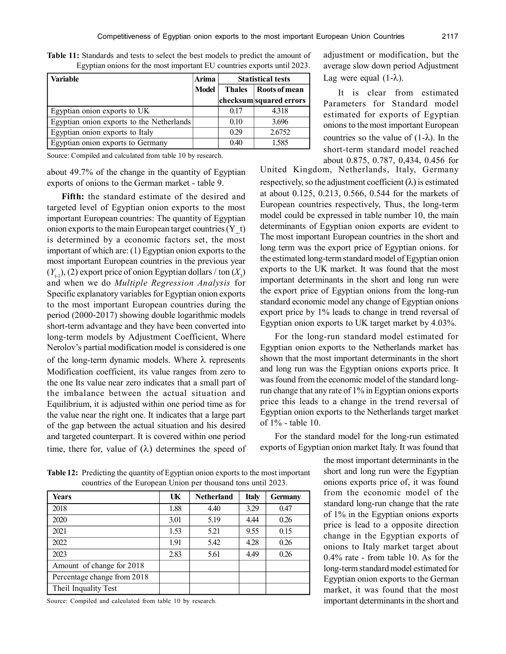| Variable                                  | Arima        |                                | <b>Statistical tests</b> |
|-------------------------------------------|--------------|--------------------------------|--------------------------|
|                                           | <b>Model</b> | Roots of mean<br><b>Thales</b> |                          |
|                                           |              |                                | checksum squared errors  |
| Egyptian onion exports to UK              |              | 0.17                           | 4.318                    |
| Egyptian onion exports to the Netherlands |              | 0.10                           | 3.696                    |
| Egyptian onion exports to Italy           |              | 0.29                           | 2.6752                   |
| Egyptian onion exports to Germany         |              | 0.40                           | 1.585                    |

**Table 11:** Standards and tests to select the best models to predict the amount of Egyptian onions for the most important EU countries exports until 2023.

Source: Compiled and calculated from table 10 by research.

about 49.7% of the change in the quantity of Egyptian exports of onions to the German market - table 9.

**Fifth:** the standard estimate of the desired and targeted level of Egyptian onion exports to the most important European countries: The quantity of Egyptian onion exports to the main European target countries  $(Y_t)$ is determined by a economic factors set, the most important of which are: (1) Egyptian onion exports to the most important European countries in the previous year  $(Y_{t-1})$ , (2) export price of onion Egyptian dollars / ton  $(X_3)$ and when we do *Multiple Regression Analysis* for Specific explanatory variables for Egyptian onion exports to the most important European countries during the period (2000-2017) showing double logarithmic models short-term advantage and they have been converted into long-term models by Adjustment Coefficient, Where Nerolov's partial modification model is considered is one of the long-term dynamic models. Where  $\lambda$  represents Modification coefficient, its value ranges from zero to the one Its value near zero indicates that a small part of the imbalance between the actual situation and Equilibrium, it is adjusted within one period time as for the value near the right one. It indicates that a large part of the gap between the actual situation and his desired and targeted counterpart. It is covered within one period time, there for, value of  $(\lambda)$  determines the speed of adjustment or modification, but the average slow down period Adjustment Lag were equal  $(1-\lambda)$ .

It is clear from estimated Parameters for Standard model estimated for exports of Egyptian onions to the most important European countries so the value of  $(1-\lambda)$ . In the short-term standard model reached about 0.875, 0.787, 0,434, 0.456 for

United Kingdom, Netherlands, Italy, Germany respectively, so the adjustment coefficient  $(\lambda)$  is estimated at about 0.125, 0.213, 0.566, 0.544 for the markets of European countries respectively, Thus, the long-term model could be expressed in table number 10, the main determinants of Egyptian onion exports are evident to The most important European countries in the short and long term was the export price of Egyptian onions. for the estimated long-term standard model of Egyptian onion exports to the UK market. It was found that the most important determinants in the short and long run were the export price of Egyptian onions from the long-run standard economic model any change of Egyptian onions export price by 1% leads to change in trend reversal of Egyptian onion exports to UK target market by 4.03%.

For the long-run standard model estimated for Egyptian onion exports to the Netherlands market has shown that the most important determinants in the short and long run was the Egyptian onions exports price. It was found from the economic model of the standard longrun change that any rate of 1% in Egyptian onions exports price this leads to a change in the trend reversal of Egyptian onion exports to the Netherlands target market of 1% - table 10.

For the standard model for the long-run estimated exports of Egyptian onion market Italy. It was found that

> the most important determinants in the short and long run were the Egyptian onions exports price of, it was found from the economic model of the standard long-run change that the rate of 1% in the Egyptian onions exports price is lead to a opposite direction change in the Egyptian exports of onions to Italy market target about 0.4% rate - from table 10. As for the long-term standard model estimated for Egyptian onion exports to the German market, it was found that the most important determinants in the short and

**Table 12:** Predicting the quantity of Egyptian onion exports to the most important countries of the European Union per thousand tons until 2023.

| Years                       | UK   | <b>Netherland</b> | <b>Italy</b> | <b>Germany</b> |
|-----------------------------|------|-------------------|--------------|----------------|
| 2018                        | 1.88 | 4.40              | 3.29         | 0.47           |
| 2020                        | 3.01 | 5.19              | 4.44         | 0.26           |
| 2021                        | 1.53 | 5.21              | 9.55         | 0.15           |
| 2022                        | 1.91 | 5.42              | 4.28         | 0.26           |
| 2023                        | 2.83 | 5.61              | 4.49         | 0.26           |
| Amount of change for 2018   |      |                   |              |                |
| Percentage change from 2018 |      |                   |              |                |
| Theil Inquality Test        |      |                   |              |                |

Source: Compiled and calculated from table 10 by research.